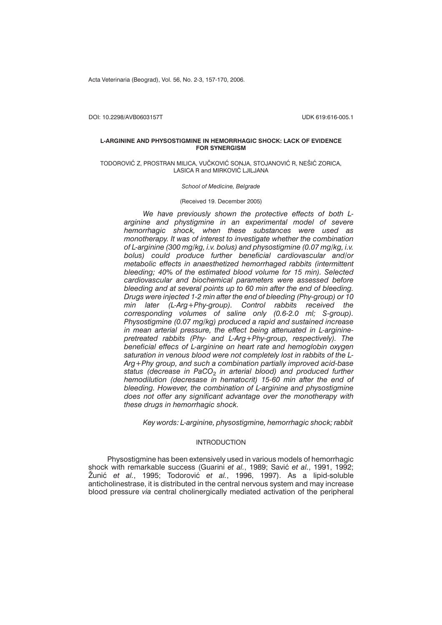Acta Veterinaria (Beograd), Vol. 56, No. 2-3, 157-170, 2006.

DOI: 10.2298/AVB0603157T UDK 619:616-005.1

### **L-ARGININE AND PHYSOSTIGMINE IN HEMORRHAGIC SHOCK: LACK OF EVIDENCE FOR SYNERGISM**

#### TODOROVIĆ Z, PROSTRAN MILICA, VUČKOVIĆ SONJA, STOJANOVIĆ R, NEŠIĆ ZORICA, LASICA R and MIRKOVIĆ LJILJANA

*School of Medicine, Belgrade*

## (Received 19. December 2005)

*We have previously shown the protective effects of both Larginine and phystigmine in an experimental model of severe hemorrhagic shock, when these substances were used as monotherapy. It was of interest to investigate whether the combination of L-arginine (300 mg/kg, i.v. bolus) and physostigmine (0.07 mg/kg, i.v. bolus) could produce further beneficial cardiovascular and/or metabolic effects in anaesthetized hemorrhaged rabbits (intermittent bleeding; 40% of the estimated blood volume for 15 min). Selected cardiovascular and biochemical parameters were assessed before bleeding and at several points up to 60 min after the end of bleeding. Drugs were injected 1-2 min after the end of bleeding (Phy-group) or 10 min later (L-Arg+Phy-group). Control rabbits received the corresponding volumes of saline only (0.6-2.0 ml; S-group). Physostigmine (0.07 mg/kg) produced a rapid and sustained increase in mean arterial pressure, the effect being attenuated in L-argininepretreated rabbits (Phy- and L-Arg+Phy-group, respectively). The beneficial effecs of L-arginine on heart rate and hemoglobin oxygen saturation in venous blood were not completely lost in rabbits of the L-Arg+Phy group, and such a combination partially improved acid-base* status (decrease in PaCO<sub>2</sub> in arterial blood) and produced further *hemodilution (decresase in hematocrit) 15-60 min after the end of bleeding. However, the combination of L-arginine and physostigmine does not offer any significant advantage over the monotherapy with these drugs in hemorrhagic shock.*

*Key words: L-arginine, physostigmine, hemorrhagic shock; rabbit*

# INTRODUCTION

Physostigmine has been extensively used in various models of hemorrhagic shock with remarkable success (Guarini *et al.*, 1989; Savić et al., 1991, 1992; Žunić *et al.*, 1995; Todorović *et al.*, 1996, 1997). As a lipid-soluble anticholinestrase, it is distributed in the central nervous system and may increase blood pressure *via* central cholinergically mediated activation of the peripheral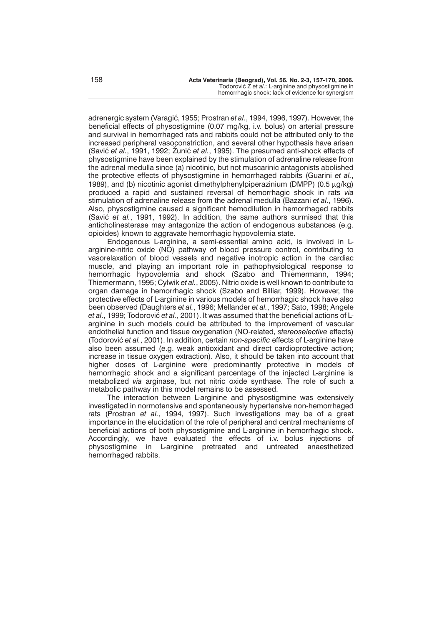adrenergic system (Varagić, 1955; Prostran *et al.*, 1994, 1996, 1997). However, the beneficial effects of physostigmine (0.07 mg/kg, i.v. bolus) on arterial pressure and survival in hemorrhaged rats and rabbits could not be attributed only to the increased peripheral vasoconstriction, and several other hypothesis have arisen (Savić et al., 1991, 1992; Žunić et al., 1995). The presumed anti-shock effects of physostigmine have been explained by the stimulation of adrenaline release from the adrenal medulla since (a) nicotinic, but not muscarinic antagonists abolished the protective effects of physostigmine in hemorrhaged rabbits (Guarini *et al.*, 1989), and (b) nicotinic agonist dimethylphenylpiperazinium (DMPP)  $(0.5 \mu g/kg)$ produced a rapid and sustained reversal of hemorrhagic shock in rats *via* stimulation of adrenaline release from the adrenal medulla (Bazzani *et al.*, 1996). Also, physostigmine caused a significant hemodilution in hemorrhaged rabbits (Savić et al., 1991, 1992). In addition, the same authors surmised that this anticholinesterase may antagonize the action of endogenous substances (e.g. opioides) known to aggravate hemorrhagic hypovolemia state.

Endogenous L-arginine, a semi-essential amino acid, is involved in Larginine-nitric oxide (NO) pathway of blood pressure control, contributing to vasorelaxation of blood vessels and negative inotropic action in the cardiac muscle, and playing an important role in pathophysiological response to hemorrhagic hypovolemia and shock (Szabo and Thiemermann, 1994; Thiemermann, 1995; Cylwik *et al.*, 2005). Nitric oxide is well known to contribute to organ damage in hemorrhagic shock (Szabo and Billiar, 1999). However, the protective effects of L-arginine in various models of hemorrhagic shock have also been observed (Daughters *et al.*, 1996; Mellander *et al.*, 1997; Sato, 1998; Angele et al., 1999; Todorović et al., 2001). It was assumed that the beneficial actions of Larginine in such models could be attributed to the improvement of vascular endothelial function and tissue oxygenation (NO-related, *stereoselective* effects) (Todorovi} *et al.*, 2001). In addition, certain *non-specific* effects of L-arginine have also been assumed (e.g. weak antioxidant and direct cardioprotective action; increase in tissue oxygen extraction). Also, it should be taken into account that higher doses of L-arginine were predominantly protective in models of hemorrhagic shock and a significant percentage of the injected L-arginine is metabolized *via* arginase, but not nitric oxide synthase. The role of such a metabolic pathway in this model remains to be assessed.

The interaction between L-arginine and physostigmine was extensively investigated in normotensive and spontaneously hypertensive non-hemorrhaged rats (Prostran *et al.*, 1994, 1997). Such investigations may be of a great importance in the elucidation of the role of peripheral and central mechanisms of beneficial actions of both physostigmine and L-arginine in hemorrhagic shock. Accordingly, we have evaluated the effects of i.v. bolus injections of physostigmine in L-arginine pretreated and untreated anaesthetized hemorrhaged rabbits.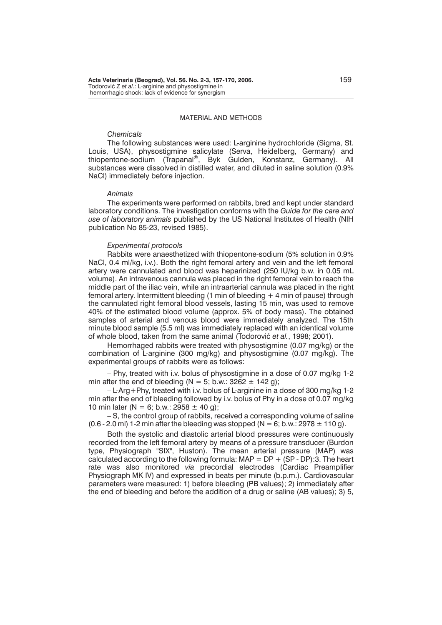### MATERIAL AND METHODS

### *Chemicals*

The following substances were used: L-arginine hydrochloride (Sigma, St. Louis, USA), physostigmine salicylate (Serva, Heidelberg, Germany) and thiopentone-sodium (Trapanal®, Byk Gulden, Konstanz, Germany). All substances were dissolved in distilled water, and diluted in saline solution (0.9% NaCl) immediately before injection.

#### *Animals*

The experiments were performed on rabbits, bred and kept under standard laboratory conditions. The investigation conforms with the *Guide for the care and use of laboratory animals* published by the US National Institutes of Health (NIH publication No 85-23, revised 1985).

#### *Experimental protocols*

Rabbits were anaesthetized with thiopentone-sodium (5% solution in 0.9% NaCl, 0.4 ml/kg, i.v.). Both the right femoral artery and vein and the left femoral artery were cannulated and blood was heparinized (250 IU/kg b.w. in 0.05 mL volume). An intravenous cannula was placed in the right femoral vein to reach the middle part of the iliac vein, while an intraarterial cannula was placed in the right femoral artery. Intermittent bleeding (1 min of bleeding + 4 min of pause) through the cannulated right femoral blood vessels, lasting 15 min, was used to remove 40% of the estimated blood volume (approx. 5% of body mass). The obtained samples of arterial and venous blood were immediately analyzed. The 15th minute blood sample (5.5 ml) was immediately replaced with an identical volume of whole blood, taken from the same animal (Todorović et al., 1998; 2001).

Hemorrhaged rabbits were treated with physostigmine (0.07 mg/kg) or the combination of L-arginine (300 mg/kg) and physostigmine (0.07 mg/kg). The experimental groups of rabbits were as follows:

– Phy, treated with i.v. bolus of physostigmine in a dose of 0.07 mg/kg 1-2 min after the end of bleeding ( $N = 5$ ; b.w.: 3262  $\pm$  142 g);

– L-Arg+Phy, treated with i.v. bolus of L-arginine in a dose of 300 mg/kg 1-2 min after the end of bleeding followed by i.v. bolus of Phy in a dose of 0.07 mg/kg 10 min later (N = 6; b.w.: 2958  $\pm$  40 g);

– S, the control group of rabbits, received a corresponding volume of saline (0.6 - 2.0 ml) 1-2 min after the bleeding was stopped (N = 6; b.w.: 2978  $\pm$  110 g).

Both the systolic and diastolic arterial blood pressures were continuously recorded from the left femoral artery by means of a pressure transducer (Burdon type, Physiograph "SIX", Huston). The mean arterial pressure (MAP) was calculated according to the following formula:  $MAP = DP + (SP - DP)$ :3. The heart rate was also monitored *via* precordial electrodes (Cardiac Preamplifier Physiograph MK IV) and expressed in beats per minute (b.p.m.). Cardiovascular parameters were measured: 1) before bleeding (PB values); 2) immediately after the end of bleeding and before the addition of a drug or saline (AB values); 3) 5,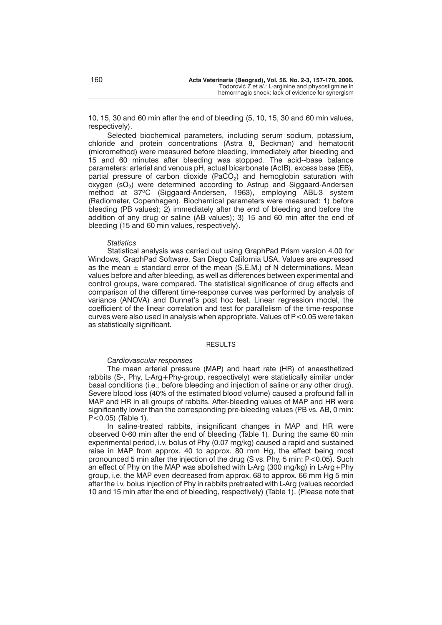10, 15, 30 and 60 min after the end of bleeding (5, 10, 15, 30 and 60 min values, respectively).

Selected biochemical parameters, including serum sodium, potassium, chloride and protein concentrations (Astra 8, Beckman) and hematocrit (micromethod) were measured before bleeding, immediately after bleeding and 15 and 60 minutes after bleeding was stopped. The acid--base balance parameters: arterial and venous pH, actual bicarbonate (ActB), excess base (EB), partial pressure of carbon dioxide (PaCO<sub>2</sub>) and hemoglobin saturation with oxygen (sO<sub>2</sub>) were determined according to Astrup and Siggaard-Andersen method at 37°C (Siggaard-Andersen, 1963), employing ABL-3 system (Radiometer, Copenhagen). Biochemical parameters were measured: 1) before bleeding (PB values); 2) immediately after the end of bleeding and before the addition of any drug or saline (AB values); 3) 15 and 60 min after the end of bleeding (15 and 60 min values, respectively).

#### *Statistics*

Statistical analysis was carried out using GraphPad Prism version 4.00 for Windows, GraphPad Software, San Diego California USA. Values are expressed as the mean  $\pm$  standard error of the mean (S.E.M.) of N determinations. Mean values before and after bleeding, as well as differences between experimental and control groups, were compared. The statistical significance of drug effects and comparison of the different time-response curves was performed by analysis of variance (ANOVA) and Dunnet's post hoc test. Linear regression model, the coefficient of the linear correlation and test for parallelism of the time-response curves were also used in analysis when appropriate. Values of P<0.05 were taken as statistically significant.

# **RESULTS**

## *Cardiovascular responses*

The mean arterial pressure (MAP) and heart rate (HR) of anaesthetized rabbits (S-, Phy, L-Arg+Phy-group, respectively) were statistically similar under basal conditions (i.e., before bleeding and injection of saline or any other drug). Severe blood loss (40% of the estimated blood volume) caused a profound fall in MAP and HR in all groups of rabbits. After-bleeding values of MAP and HR were significantly lower than the corresponding pre-bleeding values (PB vs. AB, 0 min: P<0.05) (Table 1).

In saline-treated rabbits, insignificant changes in MAP and HR were observed 0-60 min after the end of bleeding (Table 1). During the same 60 min experimental period, i.v. bolus of Phy (0.07 mg/kg) caused a rapid and sustained raise in MAP from approx. 40 to approx. 80 mm Hg, the effect being most pronounced 5 min after the injection of the drug (S vs. Phy, 5 min: P<0.05). Such an effect of Phy on the MAP was abolished with L-Arg (300 mg/kg) in L-Arg+Phy group, i.e. the MAP even decreased from approx. 68 to approx. 66 mm Hg 5 min after the i.v. bolus injection of Phy in rabbits pretreated with L-Arg (values recorded 10 and 15 min after the end of bleeding, respectively) (Table 1). (Please note that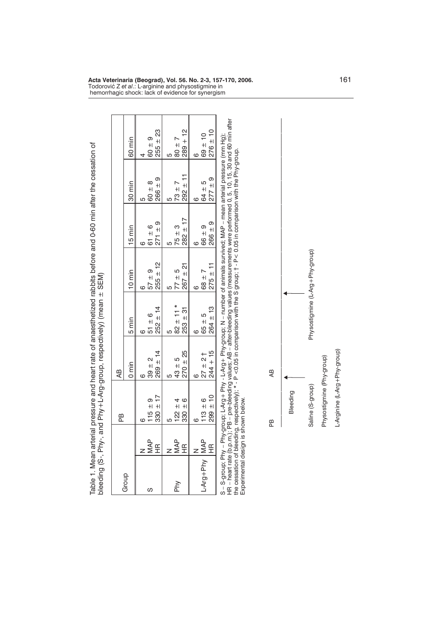|                                     |                      |                                  | bleeding (S-, Phy-, and Phy+L-Arg-group, respectively) (mean ± SEM) |                                 |                                 | Table 1. Mean arterial pressure and heart rate of anaesthetized rabbits before and 0-60 min after the cessation of                                                                                                                                                                                                                                                       |                              |                                |
|-------------------------------------|----------------------|----------------------------------|---------------------------------------------------------------------|---------------------------------|---------------------------------|--------------------------------------------------------------------------------------------------------------------------------------------------------------------------------------------------------------------------------------------------------------------------------------------------------------------------------------------------------------------------|------------------------------|--------------------------------|
|                                     |                      | ВB                               | Æ                                                                   |                                 |                                 |                                                                                                                                                                                                                                                                                                                                                                          |                              |                                |
| Group                               |                      |                                  | $0 \text{ min}$                                                     | $5 \text{min}$                  | $10 \text{ min}$                | $15 \text{ min}$                                                                                                                                                                                                                                                                                                                                                         | 30 min                       | 60 min                         |
| ပ                                   | <b>MAP</b><br>手      | $330 + 17$<br>$115 \pm 9$<br>ဖ   | $269 \pm 14$<br>$39 \pm 2$<br>ဖ                                     | $252 \pm 14$<br>$51 \pm 6$<br>ဖ | $255 \pm 12$<br>$57 \pm 9$<br>Õ | $271 \pm 9$<br>$61 \pm 6$<br>ဖ                                                                                                                                                                                                                                                                                                                                           | $266 = 9$<br>$60 + 8$<br>5   | $255 \pm 23$<br>$60 + 9$       |
|                                     |                      |                                  |                                                                     |                                 |                                 |                                                                                                                                                                                                                                                                                                                                                                          |                              |                                |
| Phy                                 | <b>MAP</b>           | $122 \pm 4$<br>Ю                 | $43 \pm 5$<br>5                                                     | $82 \pm 11 *$<br>5              | $77 \pm 5$<br>5                 | $75 \pm 3$<br>ю                                                                                                                                                                                                                                                                                                                                                          | $73 + 7$<br>5                | $7 + 08$<br>5                  |
|                                     | $\frac{\alpha}{\pm}$ | $330 \pm 6$                      | $270 \pm 25$                                                        | $253 \pm 31$                    | $267 = 21$                      | $282 \pm 17$                                                                                                                                                                                                                                                                                                                                                             | $292 \pm 11$                 | $289 + 12$                     |
| L-Arg+Phy   MAP                     | $\widetilde{\Xi}$    | $299 \pm 10$<br>$113 \pm 6$<br>ဖ | $244 + 15$<br>$27 + 21$<br>ဖ                                        | $264 \pm 13$<br>$65 \pm 5$<br>ဖ | $275 \pm 11$<br>$58 + 7$<br>ဖ   | $266 = 9$<br>$66 \pm 9$<br>Ğ                                                                                                                                                                                                                                                                                                                                             | $277 = 9$<br>$64 \pm 5$<br>ဖ | $276 \pm 10$<br>$69 + 10$<br>6 |
| Experimental design is shown below. |                      |                                  |                                                                     |                                 |                                 | S – S-group; Phy – Phy-group; L-Arg + Phy - L-Arg + Phy-group; N – number of animals survived; MAP – mean arterial pressure (mm Hg);<br>HR – heart rate (b.p.m.); PB – pre-bleeding values; AB – after-bleeding values (measureme<br>the cessation of bleeding, respectively); * - P <0.05 in comparison with the S group; 1 - P< 0.05 in comparison with the Phy-group. |                              |                                |



**Acta Veterinaria (Beograd), Vol. 56. No. 2-3, 157-170, 2006.** 161 Todorovi} Z *et al*.: L-arginine and physostigmine in hemorrhagic shock: lack of evidence for synergism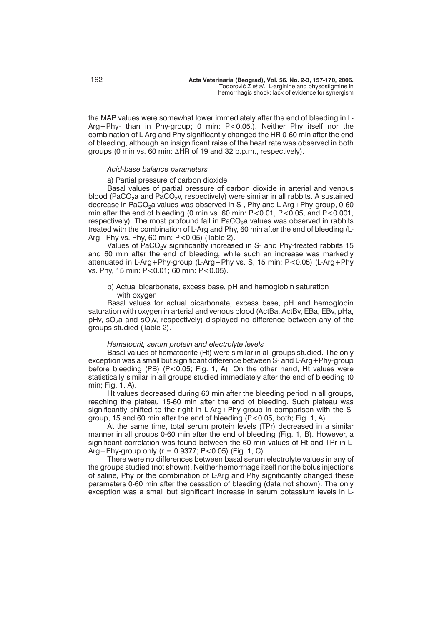the MAP values were somewhat lower immediately after the end of bleeding in L-Arg+Phy- than in Phy-group; 0 min: P<0.05.). Neither Phy itself nor the combination of L-Arg and Phy significantly changed the HR 0-60 min after the end of bleeding, although an insignificant raise of the heart rate was observed in both groups (0 min vs. 60 min:  $\Delta$ HR of 19 and 32 b.p.m., respectively).

#### *Acid-base balance parameters*

### a) Partial pressure of carbon dioxide

Basal values of partial pressure of carbon dioxide in arterial and venous blood (PaCO<sub>2</sub>a and PaCO<sub>2</sub>v, respectively) were similar in all rabbits. A sustained decrease in  $PaCO<sub>2</sub>a$  values was observed in S-, Phy and L-Arg + Phy-group, 0-60 min after the end of bleeding (0 min vs. 60 min:  $P < 0.01$ ,  $P < 0.05$ , and  $P < 0.001$ , respectively). The most profound fall in PaCO<sub>2</sub>a values was observed in rabbits treated with the combination of L-Arg and Phy, 60 min after the end of bleeding (L-Arg+Phy vs. Phy, 60 min: P<0.05) (Table 2).

Values of PaCO<sub>2</sub> significantly increased in S- and Phy-treated rabbits 15 and 60 min after the end of bleeding, while such an increase was markedly attenuated in L-Arg+Phy-group (L-Arg+Phy vs. S, 15 min: P<0.05) (L-Arg+Phy vs. Phy, 15 min: P<0.01; 60 min: P<0.05).

## b) Actual bicarbonate, excess base, pH and hemoglobin saturation with oxygen

Basal values for actual bicarbonate, excess base, pH and hemoglobin saturation with oxygen in arterial and venous blood (ActBa, ActBv, EBa, EBv, pHa, pHv, sO<sub>2</sub>a and sO<sub>2</sub>v, respectively) displayed no difference between any of the groups studied (Table 2).

### *Hematocrit, serum protein and electrolyte levels*

Basal values of hematocrite (Ht) were similar in all groups studied. The only exception was a small but significant difference between S- and L-Arg+Phy-group before bleeding (PB) (P<0.05; Fig. 1, A). On the other hand, Ht values were statistically similar in all groups studied immediately after the end of bleeding (0 min; Fig. 1, A).

Ht values decreased during 60 min after the bleeding period in all groups, reaching the plateau 15-60 min after the end of bleeding. Such plateau was significantly shifted to the right in L-Arg+Phy-group in comparison with the Sgroup, 15 and 60 min after the end of bleeding (P<0.05, both; Fig. 1, A).

At the same time, total serum protein levels (TPr) decreased in a similar manner in all groups 0-60 min after the end of bleeding (Fig. 1, B). However, a significant correlation was found between the 60 min values of Ht and TPr in L-Arg + Phy-group only ( $r = 0.9377$ ; P<0.05) (Fig. 1, C).

There were no differences between basal serum electrolyte values in any of the groups studied (not shown). Neither hemorrhage itself nor the bolus injections of saline, Phy or the combination of L-Arg and Phy significantly changed these parameters 0-60 min after the cessation of bleeding (data not shown). The only exception was a small but significant increase in serum potassium levels in L-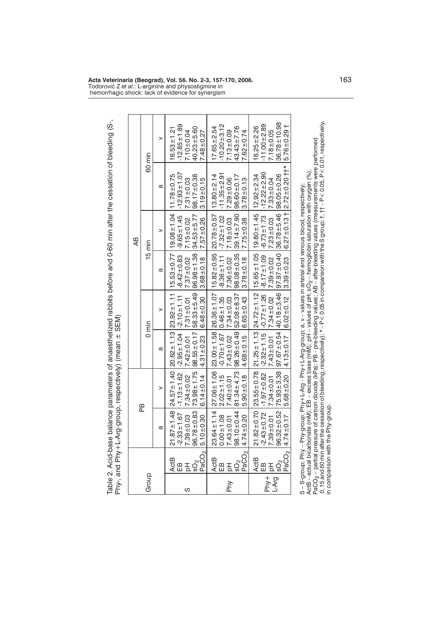|                          |                   |                                                                                                    |                                                         |                                                         |                                                 |                                                         | ÆB                                                    |                                                          |                                                      |
|--------------------------|-------------------|----------------------------------------------------------------------------------------------------|---------------------------------------------------------|---------------------------------------------------------|-------------------------------------------------|---------------------------------------------------------|-------------------------------------------------------|----------------------------------------------------------|------------------------------------------------------|
| Group                    |                   |                                                                                                    | РB                                                      |                                                         | $0 \text{ min}$                                 |                                                         | $15 \text{ min}$                                      |                                                          | 60 min                                               |
|                          |                   | a                                                                                                  | >                                                       | a                                                       | >                                               | a                                                       | >                                                     | ದ                                                        | >                                                    |
| <b>ActB</b>              |                   | $.87 \pm 1.48$<br>21                                                                               | $24.57 \pm 1.40$                                        | $20.62 \pm 1.13$                                        | $23.92 \pm 1.11$                                | $15.53 \pm 0.77$                                        | $19.08 \pm 1.04$                                      | $11.78 + 0.75$                                           | $16.53 \pm 1.21$                                     |
| ⊞ 품<br>ပ                 |                   | $7.39 \pm 0.03$<br>$96.78 \pm 0.83$<br>$5.10 \pm 0.30$<br>$-2.33 \pm 1.67$                         | $-1.13 \pm 1.62$<br>$73.98 \pm 1.75$<br>$7.34 \pm 0.02$ | $98.55 \pm 0.17$<br>$-2.95 \pm 1.04$<br>$7.42 \pm 0.01$ | 58.33±5.49<br>$-2.10 + 1.11$<br>$7.31 \pm 0.01$ | $96.98 \pm 1.38$<br>$-8.42 \pm 0.83$<br>$7.37 \pm 0.02$ | $34.53 + 5.77$<br>$-9.65 \pm 1.45$<br>$7.15 \pm 0.02$ | $-12.93 \pm 1.07$<br>$98.17 \pm 0.38$<br>$7.31 + 0.03$   | $-12.85 \pm 1.89$<br>$40.23 + 5.60$<br>$7.10 + 0.04$ |
| I <sub>SO2</sub><br>PaCC |                   |                                                                                                    | $6.14 \pm 0.14$                                         | $4.31 \pm 0.23$                                         | $6.48 + 0.30$                                   | $3.68 + 0.18$                                           | $7.57 + 0.26$                                         | $3.19 + 0.15$                                            | $7.48 + 0.27$                                        |
| Act <sub>B</sub>         |                   |                                                                                                    | $27.06 \pm 1.06$                                        | $23.00 + 1.58$                                          | $26.36 \pm 1.07$                                | $15.82 \pm 0.95$                                        | $20.78 + 0.57$                                        | $13.80 \pm 2.14$                                         | $17.65 + 2.54$                                       |
| ŒВ<br>공<br>Phy           |                   | $\begin{array}{c} 23.64 \pm 1.14 \\ 0.00 \pm 1.08 \\ 7.43 \pm 0.01 \\ 98.10 \pm 0.44 \end{array}$  | $2.02 \pm 1.15$<br>$7.40 \pm 0.01$                      | $-0.70 \pm 1.67$<br>$7.43 + 0.02$                       | $0.46 + 1.35$<br>$7.34 + 0.03$                  | $-8.36 \pm 1.11$<br>$7.36 \pm 0.02$                     | $-7.32 \pm 1.02$<br>$7.18 + 0.03$                     | $-11.35 + 2.91$<br>$7.29 + 0.06$                         | $-10.20 + 3.12$<br>$7.13 + 0.09$                     |
| င္တဲ                     |                   |                                                                                                    | $81.34 + 4.73$                                          | $98.26 \pm 0.49$                                        | $52.08 + 8.37$                                  | $98.08 + 0.35$                                          | $39.14 \pm 7.90$                                      | $98.60 \pm 0.17$                                         | $43.43 \pm 7.76$                                     |
|                          | PaCO <sub>2</sub> | $74 + 0.20$<br>$\frac{1}{4}$                                                                       | $5.90 \pm 0.18$                                         | $4.68 + 0.15$                                           | $6.65 \pm 0.43$                                 | $3.78 + 0.18$                                           | $7.75 + 0.38$                                         | $3.78 + 0.13$                                            | $7.62 + 0.74$                                        |
| Act <sub>B</sub>         |                   |                                                                                                    | $23.55 \pm 0.78$                                        | $21.25 \pm 1.13$                                        | $24.72 \pm 1.12$                                | $15.65 \pm 1.05$                                        | $19.80 \pm 1.45$                                      | $12.92 \pm 2.34$                                         | $16.25 \pm 2.26$                                     |
| ⊞ 푼                      |                   |                                                                                                    | $-1.97 \pm 0.82$                                        | $-2.32 \pm 1.15$                                        | $-0.77 \pm 1.26$                                | $-8.17 \pm 1.09$                                        | $-6.73 \pm 1.73$                                      | $-12.22 \pm 2.90$                                        | $-11.00 + 2.89$                                      |
| Phy+<br>LArg             |                   | $\begin{array}{l} 21.82 \pm 0.70 \\ -2.43 \pm 0.72 \\ 7.39 \pm 0.01 \\ 96.32 \pm 0.52 \end{array}$ | $7.34 \pm 0.01$                                         | $7.43 + 0.01$                                           | $7.34 \pm 0.02$                                 | $7.39 + 0.02$                                           | $7.23 \pm 0.03$                                       | $7.33 + 0.04$                                            | $7.18 + 0.05$                                        |
| 50 <sub>2</sub>          | PaCO <sub>2</sub> | $4.74 \pm 0.17$                                                                                    | $75.93 \pm 3.38$<br>$5.68 + 0.20$                       | $97.67 \pm 0.54$<br>$4.13 \pm 0.17$                     | $40.18 + 3.46$<br>$6.02 \pm 0.12$               | $97.97 \pm 0.40$<br>$3.39 + 0.23$                       | $6.27 \pm 0.13 \pm$<br>$36.78 \pm 5.46$               | $2.72 \pm 0.20$ $\uparrow\uparrow^*$<br>$98.05 \pm 0.26$ | $36.78 \pm 10.98$<br>+<br>$5.76 \pm 0.29$            |

Table 2. Acid-base balance parameters of anaesthetized rabbits before and 0-60 min after the cessation of bleeding (S-,<br>Phy-, and Phy+L-Arg-group, respectively) (mean ± SEM)

Todorovi} Z *et al*.: L-arginine and physostigmine in hemorrhagic shock: lack of evidence for synergism

**Acta Veterinaria (Beograd), Vol. 56. No. 2-3, 157-170, 2006.** 163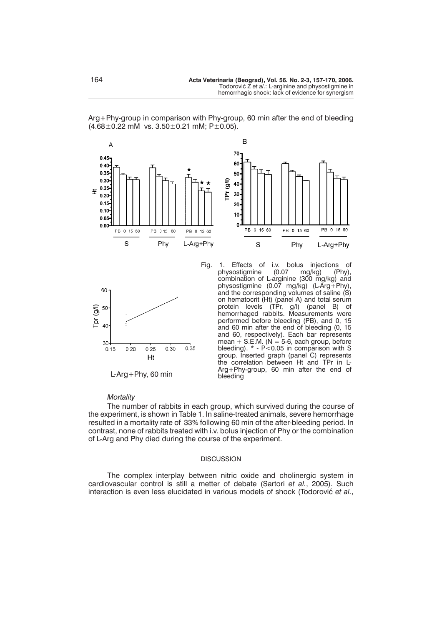

Arg+Phy-group in comparison with Phy-group, 60 min after the end of bleeding  $(4.68\pm0.22 \text{ mM} \text{ vs. } 3.50\pm0.21 \text{ mM}; \text{ P}\pm0.05).$ 



Fig. 1. Effects of i.v. bolus injections of physostigmine (0.07 mg/kg) (Phy), physostigmine (0.07 mg/kg) combination of L-arginine (300 mg/kg) and physostigmine (0.07 mg/kg) (L-Arg+Phy), and the corresponding volumes of saline (S) on hematocrit (Ht) (panel A) and total serum protein levels (TPr, g/l) (panel B) of hemorrhaged rabbits. Measurements were performed before bleeding (PB), and 0, 15 and 60 min after the end of bleeding (0, 15 and 60, respectively). Each bar represents mean + S.E.M. (N = 5-6, each group, before bleeding). \* - P<0.05 in comparison with S group. Inserted graph (panel C) represents the correlation between Ht and TPr in L-Arg+Phy-group, 60 min after the end of L-Arg+Phy, 60 min bleeding

#### *Mortality*

The number of rabbits in each group, which survived during the course of the experiment, is shown in Table 1. In saline-treated animals, severe hemorrhage resulted in a mortality rate of 33% following 60 min of the after-bleeding period. In contrast, none of rabbits treated with i.v. bolus injection of Phy or the combination of L-Arg and Phy died during the course of the experiment.

## DISCUSSION

The complex interplay between nitric oxide and cholinergic system in cardiovascular control is still a metter of debate (Sartori *et al.*, 2005). Such interaction is even less elucidated in various models of shock (Todorović et al.,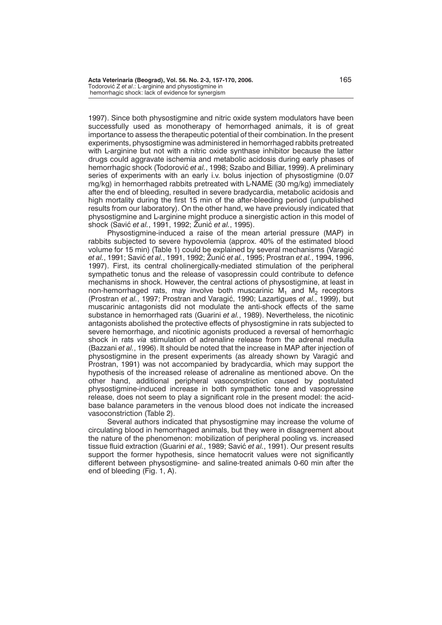1997). Since both physostigmine and nitric oxide system modulators have been successfully used as monotherapy of hemorrhaged animals, it is of great importance to assess the therapeutic potential of their combination. In the present experiments, physostigmine was administered in hemorrhaged rabbits pretreated with L-arginine but not with a nitric oxide synthase inhibitor because the latter drugs could aggravate ischemia and metabolic acidosis during early phases of hemorrhagic shock (Todorović et al., 1998; Szabo and Billiar, 1999). A preliminary series of experiments with an early i.v. bolus injection of physostigmine (0.07 mg/kg) in hemorrhaged rabbits pretreated with L-NAME (30 mg/kg) immediately after the end of bleeding, resulted in severe bradycardia, metabolic acidosis and high mortality during the first 15 min of the after-bleeding period (unpublished results from our laboratory). On the other hand, we have previously indicated that physostigmine and L-arginine might produce a sinergistic action in this model of shock (Savić *et al.*, 1991, 1992; Žunić *et al.*, 1995).

Physostigmine-induced a raise of the mean arterial pressure (MAP) in rabbits subjected to severe hypovolemia (approx. 40% of the estimated blood volume for 15 min) (Table 1) could be explained by several mechanisms (Varagić *et al.*, 1991; Savić *et al.*, 1991, 1992; Žunić *et al.*, 1995; Prostran *et al.*, 1994, 1996, 1997). First, its central cholinergically-mediated stimulation of the peripheral sympathetic tonus and the release of vasopressin could contribute to defence mechanisms in shock. However, the central actions of physostigmine, at least in non-hemorrhaged rats, may involve both muscarinic  $M_1$  and  $M_2$  receptors (Prostran *et al.*, 1997; Prostran and Varagić, 1990; Lazartigues *et al.*, 1999), but muscarinic antagonists did not modulate the anti-shock effects of the same substance in hemorrhaged rats (Guarini *et al.*, 1989). Nevertheless, the nicotinic antagonists abolished the protective effects of physostigmine in rats subjected to severe hemorrhage, and nicotinic agonists produced a reversal of hemorrhagic shock in rats *via* stimulation of adrenaline release from the adrenal medulla (Bazzani *et al.*, 1996). It should be noted that the increase in MAP after injection of physostigmine in the present experiments (as already shown by Varagić and Prostran, 1991) was not accompanied by bradycardia, which may support the hypothesis of the increased release of adrenaline as mentioned above. On the other hand, additional peripheral vasoconstriction caused by postulated physostigmine-induced increase in both sympathetic tone and vasopressine release, does not seem to play a significant role in the present model: the acidbase balance parameters in the venous blood does not indicate the increased vasoconstriction (Table 2).

Several authors indicated that physostigmine may increase the volume of circulating blood in hemorrhaged animals, but they were in disagreement about the nature of the phenomenon: mobilization of peripheral pooling vs. increased tissue fluid extraction (Guarini et al., 1989; Savić et al., 1991). Our present results support the former hypothesis, since hematocrit values were not significantly different between physostigmine- and saline-treated animals 0-60 min after the end of bleeding (Fig. 1, A).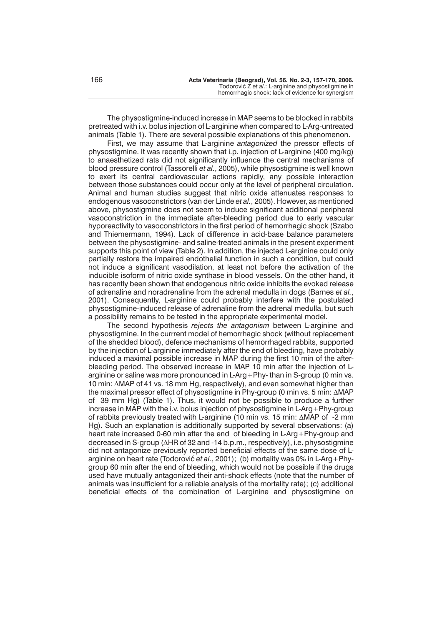The physostigmine-induced increase in MAP seems to be blocked in rabbits pretreated with i.v. bolus injection of L-arginine when compared to L-Arg-untreated animals (Table 1). There are several possible explanations of this phenomenon.

First, we may assume that L-arginine *antagonized* the pressor effects of physostigmine. It was recently shown that i.p. injection of L-arginine (400 mg/kg) to anaesthetized rats did not significantly influence the central mechanisms of blood pressure control (Tassorelli *et al.*, 2005), while physostigmine is well known to exert its central cardiovascular actions rapidly, any possible interaction between those substances could occur only at the level of peripheral circulation. Animal and human studies suggest that nitric oxide attenuates responses to endogenous vasoconstrictors (van der Linde *et al.*, 2005). However, as mentioned above, physostigmine does not seem to induce significant additional peripheral vasoconstriction in the immediate after-bleeding period due to early vascular hyporeactivity to vasoconstrictors in the first period of hemorrhagic shock (Szabo and Thiemermann, 1994). Lack of difference in acid-base balance parameters between the physostigmine- and saline-treated animals in the present experiment supports this point of view (Table 2). In addition, the injected L-arginine could only partially restore the impaired endothelial function in such a condition, but could not induce a significant vasodilation, at least not before the activation of the inducible isoform of nitric oxide synthase in blood vessels. On the other hand, it has recently been shown that endogenous nitric oxide inhibits the evoked release of adrenaline and noradrenaline from the adrenal medulla in dogs (Barnes *et al.*, 2001). Consequently, L-arginine could probably interfere with the postulated physostigmine-induced release of adrenaline from the adrenal medulla, but such a possibility remains to be tested in the appropriate experimental model.

The second hypothesis *rejects the antagonism* between L-arginine and physostigmine. In the currrent model of hemorrhagic shock (without replacement of the shedded blood), defence mechanisms of hemorrhaged rabbits, supported by the injection of L-arginine immediately after the end of bleeding, have probably induced a maximal possible increase in MAP during the first 10 min of the afterbleeding period. The observed increase in MAP 10 min after the injection of Larginine or saline was more pronounced in L-Arg+Phy- than in S-group (0 min vs. 10 min:  $\triangle$ MAP of 41 vs. 18 mm Hg, respectively), and even somewhat higher than the maximal pressor effect of physostigmine in Phy-group (0 min vs. 5 min:  $\Delta$ MAP of 39 mm Hg) (Table 1). Thus, it would not be possible to produce a further increase in MAP with the i.v. bolus injection of physostigmine in L-Arg+Phy-group of rabbits previously treated with L-arginine (10 min vs. 15 min: ΔMAP of -2 mm Hg). Such an explanation is additionally supported by several observations: (a) heart rate increased 0-60 min after the end of bleeding in L-Arg+Phy-group and decreased in S-group (ΔHR of 32 and -14 b.p.m., respectively), i.e. physostigmine did not antagonize previously reported beneficial effects of the same dose of Larginine on heart rate (Todorović et al., 2001); (b) mortality was 0% in L-Arg+Phygroup 60 min after the end of bleeding, which would not be possible if the drugs used have mutually antagonized their anti-shock effects (note that the number of animals was insufficient for a reliable analysis of the mortality rate); (c) additional beneficial effects of the combination of L-arginine and physostigmine on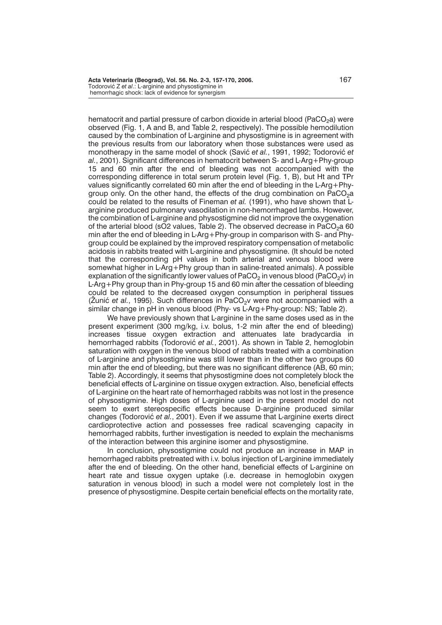hematocrit and partial pressure of carbon dioxide in arterial blood (PaCO<sub>2</sub>a) were observed (Fig. 1, A and B, and Table 2, respectively). The possible hemodilution caused by the combination of L-arginine and physostigmine is in agreement with the previous results from our laboratory when those substances were used as monotherapy in the same model of shock (Savić *et al.*, 1991, 1992; Todorović *et al.*, 2001). Significant differences in hematocrit between S- and L-Arg+Phy-group 15 and 60 min after the end of bleeding was not accompanied with the corresponding difference in total serum protein level (Fig. 1, B), but Ht and TPr values significantly correlated 60 min after the end of bleeding in the L-Arg+Phygroup only. On the other hand, the effects of the drug combination on  $PaCO<sub>2</sub>a$ could be related to the results of Fineman *et al.* (1991), who have shown that Larginine produced pulmonary vasodilation in non-hemorrhaged lambs. However, the combination of L-arginine and physostigmine did not improve the oxygenation of the arterial blood (sO2 values, Table 2). The observed decrease in PaCO<sub>2</sub>a 60 min after the end of bleeding in L-Arg+Phy-group in comparison with S- and Phygroup could be explained by the improved respiratory compensation of metabolic acidosis in rabbits treated with L-arginine and physostigmine. (It should be noted that the corresponding pH values in both arterial and venous blood were somewhat higher in L-Arg+Phy group than in saline-treated animals). A possible explanation of the significantly lower values of  $PACO<sub>2</sub>$  in venous blood (PaCO<sub>2</sub>v) in L-Arg+Phy group than in Phy-group 15 and 60 min after the cessation of bleeding could be related to the decreased oxygen consumption in peripheral tissues  $($ Zunić *et al.*, 1995). Such differences in PaCO<sub>2</sub>v were not accompanied with a similar change in pH in venous blood (Phy- vs L-Arg+Phy-group: NS; Table 2).

We have previously shown that L-arginine in the same doses used as in the present experiment (300 mg/kg, i.v. bolus, 1-2 min after the end of bleeding) increases tissue oxygen extraction and attenuates late bradycardia in hemorrhaged rabbits (Todorović et al., 2001). As shown in Table 2, hemoglobin saturation with oxygen in the venous blood of rabbits treated with a combination of L-arginine and physostigmine was still lower than in the other two groups 60 min after the end of bleeding, but there was no significant difference (AB, 60 min; Table 2). Accordingly, it seems that physostigmine does not completely block the beneficial effects of L-arginine on tissue oxygen extraction. Also, beneficial effects of L-arginine on the heart rate of hemorrhaged rabbits was not lost in the presence of physostigmine. High doses of L-arginine used in the present model do not seem to exert stereospecific effects because D-arginine produced similar changes (Todorović et al., 2001). Even if we assume that L-arginine exerts direct cardioprotective action and possesses free radical scavenging capacity in hemorrhaged rabbits, further investigation is needed to explain the mechanisms of the interaction between this arginine isomer and physostigmine.

In conclusion, physostigmine could not produce an increase in MAP in hemorrhaged rabbits pretreated with i.v. bolus injection of L-arginine immediately after the end of bleeding. On the other hand, beneficial effects of L-arginine on heart rate and tissue oxygen uptake (i.e. decrease in hemoglobin oxygen saturation in venous blood) in such a model were not completely lost in the presence of physostigmine. Despite certain beneficial effects on the mortality rate,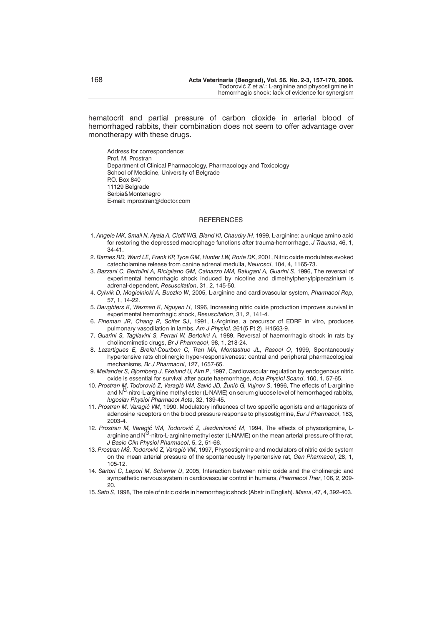hematocrit and partial pressure of carbon dioxide in arterial blood of hemorrhaged rabbits, their combination does not seem to offer advantage over monotherapy with these drugs.

Address for correspondence: Prof. M. Prostran Department of Clinical Pharmacology, Pharmacology and Toxicology School of Medicine, University of Belgrade **P.O. Box 840** 11129 Belgrade Serbia&Montenegro E-mail: mprostran@doctor.com

#### REFERENCES

- 1. *Angele MK, Smail N, Ayala A, Cioffi WG, Bland KI, Chaudry IH*, 1999, L-arginine: a unique amino acid for restoring the depressed macrophage functions after trauma-hemorrhage, *J Trauma*, 46, 1, 34-41.
- 2. *Barnes RD, Ward LE, Frank KP, Tyce GM, Hunter LW, Rorie DK*, 2001, Nitric oxide modulates evoked catecholamine release from canine adrenal medulla, *Neurosci*, 104, 4, 1165-73.
- 3. *Bazzani C, Bertolini A, Ricigliano GM, Cainazzo MM, Balugani A, Guarini S*, 1996, The reversal of experimental hemorrhagic shock induced by nicotine and dimethylphenylpiperazinium is adrenal-dependent, *Resuscitation*, 31, 2, 145-50.
- 4. *Cylwik D, Mogielnicki A, Buczko W*, 2005, L-arginine and cardiovascular system, *Pharmacol Rep*, 57, 1, 14-22.
- 5. *Daughters K, Waxman K, Nguyen H*, 1996, Increasing nitric oxide production improves survival in experimental hemorrhagic shock, *Resuscitation*, 31, 2, 141-4.
- 6. *Fineman JR, Chang R, Soifer SJ*, 1991, L-Arginine, a precursor of EDRF in vitro, produces pulmonary vasodilation in lambs, *Am J Physiol*, 261(5 Pt 2), H1563-9.
- 7. *Guarini S, Tagliavini S, Ferrari W, Bertolini A*, 1989, Reversal of haemorrhagic shock in rats by cholinomimetic drugs, *Br J Pharmacol*, 98, 1, 218-24.
- 8. *Lazartigues E, Brefel-Courbon C, Tran MA, Montastruc JL, Rascol O*, 1999, Spontaneously hypertensive rats cholinergic hyper-responsiveness: central and peripheral pharmacological mechanisms, *Br J Pharmacol*, 127, 1657-65.
- 9. *Mellander S, Bjornberg J, Ekelund U, Alm P*, 1997, Cardiovascular regulation by endogenous nitric oxide is essential for survival after acute haemorrhage, *Acta Physiol Scand*, 160, 1, 57-65.
- 10. Prostran M, Todorović Z, Varagić VM, Savić JD, Žunić G, Vujnov S, 1996, The effects of L-arginine and  $N^G$ -nitro-L-arginine methyl ester (L-NAME) on serum glucose level of hemorrhaged rabbits, *Iugoslav Physiol Pharmacol Acta*, 32, 139-45.
- 11. Prostran M, Varagić VM, 1990, Modulatory influences of two specific agonists and antagonists of adenosine receptors on the blood pressure response to physostigmine, *Eur J Pharmacol*, 183, 2003-4.
- 12. Prostran M, Varagić VM, Todorović Z, Jezdimirović M, 1994, The effects of physostigmine, Larginine and  $N<sup>G</sup>$ -nitro-L-arginine methyl ester (L-NAME) on the mean arterial pressure of the rat, *J Basic Clin Physiol Pharmacol*, 5, 2, 51-66.
- 13. Prostran MŠ, Todorović Z, Varagić VM, 1997, Physostigmine and modulators of nitric oxide system on the mean arterial pressure of the spontaneously hypertensive rat, *Gen Pharmacol*, 28, 1, 105-12.
- 14. *Sartori C, Lepori M, Scherrer U*, 2005, Interaction between nitric oxide and the cholinergic and sympathetic nervous system in cardiovascular control in humans, *Pharmacol Ther*, 106, 2, 209- 20.
- 15. *Sato S*, 1998, The role of nitric oxide in hemorrhagic shock (Abstr in English). *Masui*, 47, 4, 392-403.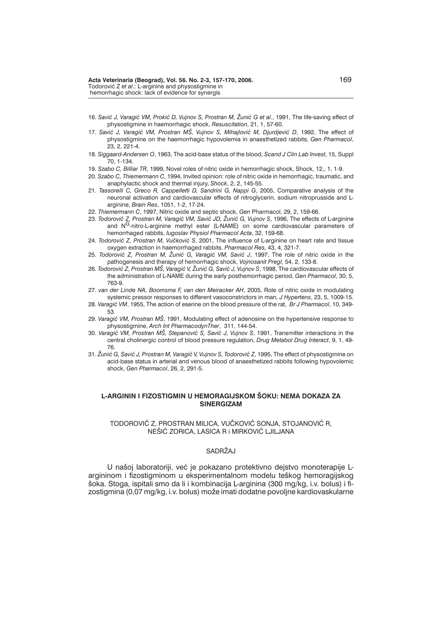- 16. Savić J, Varagić VM, Prokić D, Vujnov S, Prostran M, Žunić G et al., 1991, The life-saving effect of physostigmine in haemorrhagic shock, *Resuscitation*, 21, 1, 57-60.
- 17. Savić J, Varagić VM, Prostran MŠ, Vujnov S, Mihajlović M, Djurdjević D, 1992, The effect of physostigmine on the haemorrhagic hypovolemia in anaesthetized rabbits, *Gen Pharmacol*, 23, 2, 221-4.
- 18. *Siggaard-Andersen O*, 1963, The acid-base status of the blood, *Scand J Clin Lab Invest*, 15, Suppl 70, 1-134.
- 19. *Szabo C, Billiar TR*, 1999, Novel roles of nitric oxide in hemorrhagic shock, Shock, 12,, 1, 1-9.
- 20. *Szabo C, Thiemermann C*, 1994, Invited opinion: role of nitric oxide in hemorrhagic, traumatic, and anaphylactic shock and thermal injury, *Shock*, 2, 2, 145-55.
- 21. *Tassorelli C, Greco R, Cappelletti D, Sandrini G, Nappi G*, 2005, Comparative analysis of the neuronal activation and cardiovascular effects of nitroglycerin, sodium nitroprusside and Larginine, *Brain Res*, 1051, 1-2, 17-24.
- 22. *Thiemermann C*, 1997, Nitric oxide and septic shock, *Gen* Pharmacol, 29, 2, 159-66.
- 23. *Todorović Z, Prostran M, Varagić VM, Savić JD, Žunić G, Vujnov S, 1996, The effects of L-arginine* and NG-nitro-L-arginine methyl ester (L-NAME) on some cardiovascular parameters of hemorrhaged rabbits, *Iugoslav Physiol Pharmacol Acta*, 32, 159-68.
- 24. *Todorović Z, Prostran M, Vučković S, 2001*, The influence of L-arginine on heart rate and tissue oxygen extraction in haemorrhaged rabbits. *Pharmacol Res,* 43, 4, 321-7.
- 25. *Todorović Z, Prostran M, Žunić G, Varagić VM, Savić J, 1997, The role of nitric oxide in the* pathogenesis and therapy of hemorrhagic shock, *Vojnosanit Pregl*, 54, 2, 133-8.
- 26. *Todorović Z, Prostran MŠ, Varagić V, Žunić G, Savić J, Vujnov S, 1998, The cardiovascular effects of* the administration of L-NAME during the early posthemorrhagic period, *Gen Pharmacol*, 30, 5, 763-9.
- 27. *van der Linde NA, Boomsma F, van den Meiracker AH*, 2005, Role of nitric oxide in modulating systemic pressor responses to different vasoconstrictors in man, *J Hypertens*, 23, 5, 1009-15.
- 28. *Varagi} VM*, 1955, The action of eserine on the blood pressure of the rat, *Br J Pharmacol*, 10, 349- 53.
- 29. *Varagić VM, Prostran MS*, 1991, Modulating effect of adenosine on the hypertensive response to physostigmine, *Arch Int PharmacodynTher*, 311, 144-54.
- 30. Varagić VM, Prostran MŠ, Stepanović S, Savić J, Vujnov S, 1991, Transmitter interactions in the central cholinergic control of blood pressure regulation, *Drug Metabol Drug Interact*, 9, 1, 49- 76.
- 31. Žunić G, Savić J, Prostran M, Varagić V, Vujnov S, Todorović Z, 1995. The effect of physostigmine on acid-base status in arterial and venous blood of anaesthetized rabbits following hypovolemic shock, *Gen Pharmacol*, 26, 2, 291-5.

# L-ARGININ I FIZOSTIGMIN U HEMORAGIJSKOM ŠOKU: NEMA DOKAZA ZA **SINERGIZAM**

# TODOROVIĆ Z, PROSTRAN MILICA, VUČKOVIĆ SONJA, STOJANOVIĆ R, NEŠIĆ ZORICA, LASICA R i MIRKOVIĆ LJILJANA

# SADRŽAJ

U našoj laboratoriji, već je pokazano protektivno dejstvo monoterapije Largininom i fizostigminom u eksperimentalnom modelu teškog hemoragijskog {oka. Stoga, ispitali smo da li i kombinacija L-arginina (300 mg/kg, i.v. bolus) i fizostigmina (0,07 mg/kg, i.v. bolus) može imati dodatne povoljne kardiovaskularne